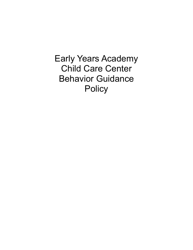Early Years Academy Child Care Center Behavior Guidance **Policy**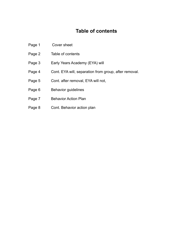## **Table of contents**

- Page 1 Cover sheet
- Page 2 Table of contents
- Page 3 Early Years Academy (EYA) will
- Page 4 Cont. EYA will, separation from group, after removal.
- Page 5 Cont. after removal, EYA will not,
- Page 6 Behavior guidelines
- Page 7 Behavior Action Plan
- Page 8 Cont. Behavior action plan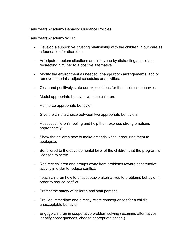## Early Years Academy Behavior Guidance Policies

Early Years Academy WILL:

- Develop a supportive, trusting relationship with the children in our care as a foundation for discipline.
- Anticipate problem situations and intervene by distracting a child and redirecting him/ her to a positive alternative.
- Modify the environment as needed; change room arrangements, add or remove materials, adjust schedules or activities.
- Clear and positively state our expectations for the children's behavior.
- Model appropriate behavior with the children.
- Reinforce appropriate behavior.
- Give the child a choice between two appropriate behaviors.
- Respect children's feeling and help them express strong emotions appropriately.
- Show the children how to make amends without requiring them to apologize.
- Be tailored to the developmental level of the children that the program is licensed to serve.
- Redirect children and groups away from problems toward constructive activity in order to reduce conflict.
- Teach children how to unacceptable alternatives to problems behavior in order to reduce conflict.
- Protect the safety of children and staff persons.
- Provide immediate and directly relate consequences for a child's unacceptable behavior.
- Engage children in cooperative problem solving (Examine alternatives, identify consequences, choose appropriate action.)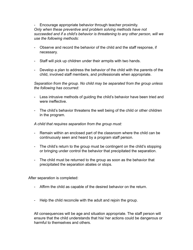- Encourage appropriate behavior through teacher proximity. *Only when these preventive and problem solving methods have not succeeded and if a child's behavior is threatening to any other person, will we use the following methods:*

- Observe and record the behavior of the child and the staff response, if necessary.
- Staff will pick up children under their armpits with two hands.
- Develop a plan to address the behavior of the child with the parents of the child, involved staff members, and professionals when appropriate.

*Separation from the group. No child may be separated from the group unless the following has occurred:*

- Less intrusive methods of guiding the child's behavior have been tried and were ineffective.
- The child's behavior threatens the well being of the child or other children in the program.

*A child that requires separation from the group must:*

- Remain within an enclosed part of the classroom where the child can be continuously seen and heard by a program staff person.
- The child's return to the group must be contingent on the child's stopping or bringing under control the behavior that precipitated the separation.
- The child must be returned to the group as soon as the behavior that precipitated the separation abates or stops.

After separation is completed:

- Affirm the child as capable of the desired behavior on the return.
- Help the child reconcile with the adult and rejoin the group.

All consequences will be age and situation appropriate. The staff person will ensure that the child understands that his/ her actions could be dangerous or harmful to themselves and others.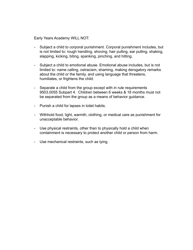Early Years Academy WILL NOT:

- Subject a child to corporal punishment. Corporal punishment includes, but is not limited to: rough handling, shoving, hair pulling, ear pulling, shaking, slapping, kicking, biting, spanking, pinching, and hitting.
- Subject a child to emotional abuse. Emotional abuse includes, but is not limited to: name calling, ostracism, shaming, making derogatory remarks about the child or the family, and using language that threatens, humiliates, or frightens the child.
- Separate a child from the group except with in rule requirements 9503.0055 Subpart 4. Children between 6 weeks & 16 months must not be separated from the group as a means of behavior guidance.
- Punish a child for lapses in toilet habits.
- Withhold food, light, warmth, clothing, or medical care as punishment for unacceptable behavior.
- Use physical restraints, other than to physically hold a child when containment is necessary to protect another child or person from harm.
- Use mechanical restraints, such as tying.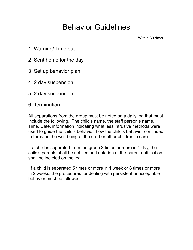## Behavior Guidelines

Within 30 days

- 1. Warning/ Time out
- 2. Sent home for the day
- 3. Set up behavior plan
- 4. 2 day suspension
- 5. 2 day suspension
- 6. Termination

All separations from the group must be noted on a daily log that must include the following. The child's name, the staff person's name, Time, Date, information indicating what less intrusive methods were used to guide the child's behavior, how the child's behavior continued to threaten the well being of the child or other children in care.

If a child is separated from the group 3 times or more in 1 day, the child's parents shall be notified and notation of the parent notification shall be indicted on the log.

 If a child is separated 5 times or more in 1 week or 8 times or more in 2 weeks, the procedures for dealing with persistent unacceptable behavior must be followed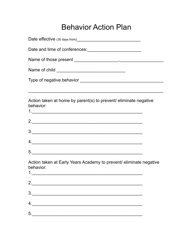## **Behavior Action Plan**

| Action taken at home by parent(s) to prevent/ eliminate negative<br>behavior:   |  |
|---------------------------------------------------------------------------------|--|
|                                                                                 |  |
|                                                                                 |  |
| 4.                                                                              |  |
|                                                                                 |  |
| Action taken at Early Years Academy to prevent/ eliminate negative<br>behavior: |  |
| 2. $\qquad \qquad$                                                              |  |
| 3.                                                                              |  |
| 4.                                                                              |  |
| 5.                                                                              |  |